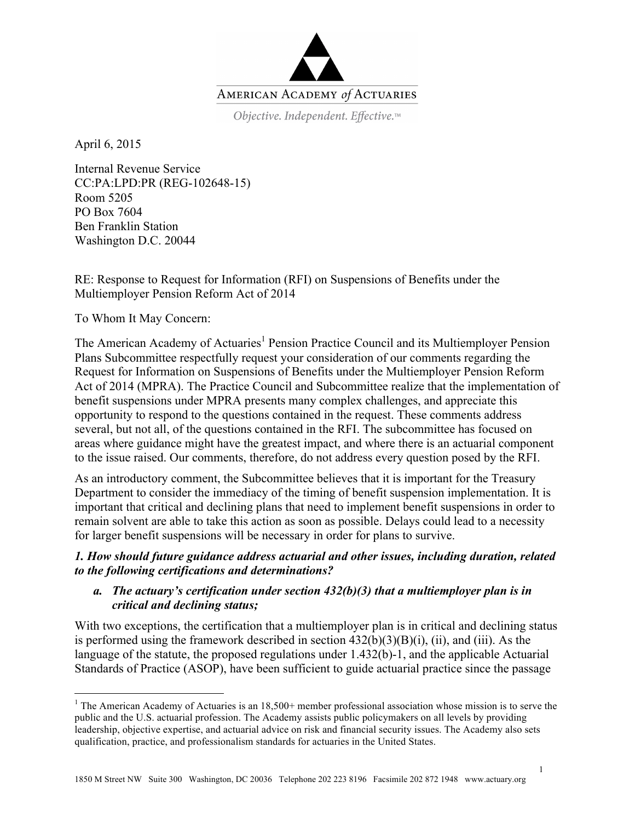

Objective. Independent. Effective.™

April 6, 2015

Internal Revenue Service CC:PA:LPD:PR (REG-102648-15) Room 5205 PO Box 7604 Ben Franklin Station Washington D.C. 20044

RE: Response to Request for Information (RFI) on Suspensions of Benefits under the Multiemployer Pension Reform Act of 2014

To Whom It May Concern:

The American Academy of Actuaries<sup>1</sup> Pension Practice Council and its Multiemployer Pension Plans Subcommittee respectfully request your consideration of our comments regarding the Request for Information on Suspensions of Benefits under the Multiemployer Pension Reform Act of 2014 (MPRA). The Practice Council and Subcommittee realize that the implementation of benefit suspensions under MPRA presents many complex challenges, and appreciate this opportunity to respond to the questions contained in the request. These comments address several, but not all, of the questions contained in the RFI. The subcommittee has focused on areas where guidance might have the greatest impact, and where there is an actuarial component to the issue raised. Our comments, therefore, do not address every question posed by the RFI.

As an introductory comment, the Subcommittee believes that it is important for the Treasury Department to consider the immediacy of the timing of benefit suspension implementation. It is important that critical and declining plans that need to implement benefit suspensions in order to remain solvent are able to take this action as soon as possible. Delays could lead to a necessity for larger benefit suspensions will be necessary in order for plans to survive.

# *1. How should future guidance address actuarial and other issues, including duration, related to the following certifications and determinations?*

# *a. The actuary's certification under section 432(b)(3) that a multiemployer plan is in critical and declining status;*

With two exceptions, the certification that a multiemployer plan is in critical and declining status is performed using the framework described in section  $432(b)(3)(B)(i)$ , (ii), and (iii). As the language of the statute, the proposed regulations under 1.432(b)-1, and the applicable Actuarial Standards of Practice (ASOP), have been sufficient to guide actuarial practice since the passage

 $\frac{1}{1}$ <sup>1</sup> The American Academy of Actuaries is an  $18,500+$  member professional association whose mission is to serve the public and the U.S. actuarial profession. The Academy assists public policymakers on all levels by providing leadership, objective expertise, and actuarial advice on risk and financial security issues. The Academy also sets qualification, practice, and professionalism standards for actuaries in the United States.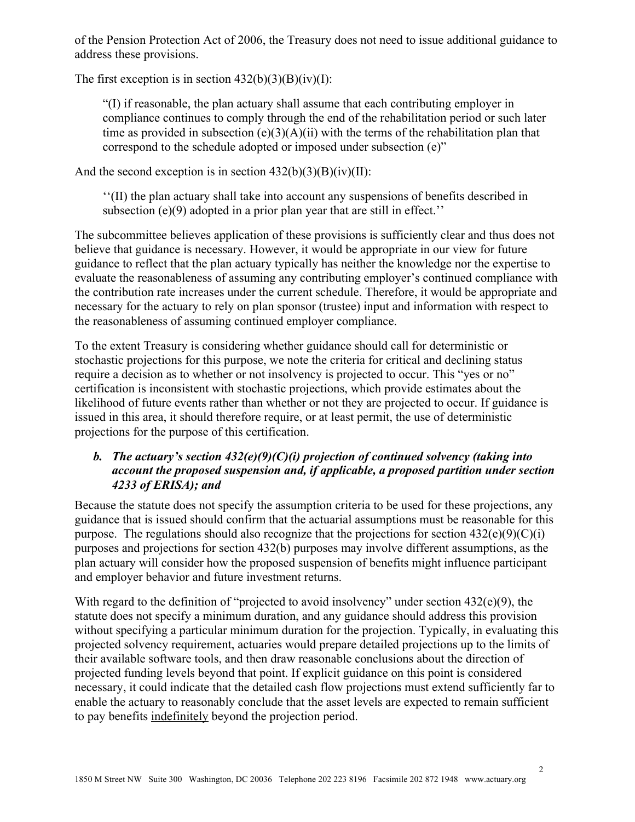of the Pension Protection Act of 2006, the Treasury does not need to issue additional guidance to address these provisions.

The first exception is in section  $432(b)(3)(B)(iv)(I)$ :

"(I) if reasonable, the plan actuary shall assume that each contributing employer in compliance continues to comply through the end of the rehabilitation period or such later time as provided in subsection  $(e)(3)(A)(ii)$  with the terms of the rehabilitation plan that correspond to the schedule adopted or imposed under subsection (e)"

And the second exception is in section  $432(b)(3)(B)(iv)(II)$ :

''(II) the plan actuary shall take into account any suspensions of benefits described in subsection (e)(9) adopted in a prior plan year that are still in effect.''

The subcommittee believes application of these provisions is sufficiently clear and thus does not believe that guidance is necessary. However, it would be appropriate in our view for future guidance to reflect that the plan actuary typically has neither the knowledge nor the expertise to evaluate the reasonableness of assuming any contributing employer's continued compliance with the contribution rate increases under the current schedule. Therefore, it would be appropriate and necessary for the actuary to rely on plan sponsor (trustee) input and information with respect to the reasonableness of assuming continued employer compliance.

To the extent Treasury is considering whether guidance should call for deterministic or stochastic projections for this purpose, we note the criteria for critical and declining status require a decision as to whether or not insolvency is projected to occur. This "yes or no" certification is inconsistent with stochastic projections, which provide estimates about the likelihood of future events rather than whether or not they are projected to occur. If guidance is issued in this area, it should therefore require, or at least permit, the use of deterministic projections for the purpose of this certification.

# *b. The actuary's section 432(e)(9)(C)(i) projection of continued solvency (taking into account the proposed suspension and, if applicable, a proposed partition under section 4233 of ERISA); and*

Because the statute does not specify the assumption criteria to be used for these projections, any guidance that is issued should confirm that the actuarial assumptions must be reasonable for this purpose. The regulations should also recognize that the projections for section  $432(e)(9)(C)(i)$ purposes and projections for section 432(b) purposes may involve different assumptions, as the plan actuary will consider how the proposed suspension of benefits might influence participant and employer behavior and future investment returns.

With regard to the definition of "projected to avoid insolvency" under section 432(e)(9), the statute does not specify a minimum duration, and any guidance should address this provision without specifying a particular minimum duration for the projection. Typically, in evaluating this projected solvency requirement, actuaries would prepare detailed projections up to the limits of their available software tools, and then draw reasonable conclusions about the direction of projected funding levels beyond that point. If explicit guidance on this point is considered necessary, it could indicate that the detailed cash flow projections must extend sufficiently far to enable the actuary to reasonably conclude that the asset levels are expected to remain sufficient to pay benefits indefinitely beyond the projection period.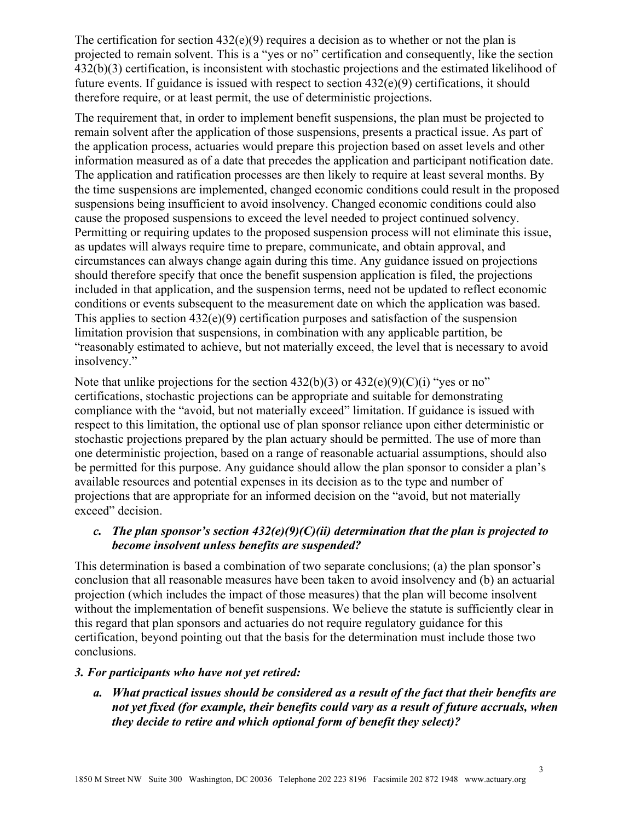The certification for section  $432(e)(9)$  requires a decision as to whether or not the plan is projected to remain solvent. This is a "yes or no" certification and consequently, like the section 432(b)(3) certification, is inconsistent with stochastic projections and the estimated likelihood of future events. If guidance is issued with respect to section 432(e)(9) certifications, it should therefore require, or at least permit, the use of deterministic projections.

The requirement that, in order to implement benefit suspensions, the plan must be projected to remain solvent after the application of those suspensions, presents a practical issue. As part of the application process, actuaries would prepare this projection based on asset levels and other information measured as of a date that precedes the application and participant notification date. The application and ratification processes are then likely to require at least several months. By the time suspensions are implemented, changed economic conditions could result in the proposed suspensions being insufficient to avoid insolvency. Changed economic conditions could also cause the proposed suspensions to exceed the level needed to project continued solvency. Permitting or requiring updates to the proposed suspension process will not eliminate this issue, as updates will always require time to prepare, communicate, and obtain approval, and circumstances can always change again during this time. Any guidance issued on projections should therefore specify that once the benefit suspension application is filed, the projections included in that application, and the suspension terms, need not be updated to reflect economic conditions or events subsequent to the measurement date on which the application was based. This applies to section  $432(e)(9)$  certification purposes and satisfaction of the suspension limitation provision that suspensions, in combination with any applicable partition, be "reasonably estimated to achieve, but not materially exceed, the level that is necessary to avoid insolvency."

Note that unlike projections for the section  $432(b)(3)$  or  $432(e)(9)(C)(i)$  "yes or no" certifications, stochastic projections can be appropriate and suitable for demonstrating compliance with the "avoid, but not materially exceed" limitation. If guidance is issued with respect to this limitation, the optional use of plan sponsor reliance upon either deterministic or stochastic projections prepared by the plan actuary should be permitted. The use of more than one deterministic projection, based on a range of reasonable actuarial assumptions, should also be permitted for this purpose. Any guidance should allow the plan sponsor to consider a plan's available resources and potential expenses in its decision as to the type and number of projections that are appropriate for an informed decision on the "avoid, but not materially exceed" decision.

## *c. The plan sponsor's section 432(e)(9)(C)(ii) determination that the plan is projected to become insolvent unless benefits are suspended?*

This determination is based a combination of two separate conclusions; (a) the plan sponsor's conclusion that all reasonable measures have been taken to avoid insolvency and (b) an actuarial projection (which includes the impact of those measures) that the plan will become insolvent without the implementation of benefit suspensions. We believe the statute is sufficiently clear in this regard that plan sponsors and actuaries do not require regulatory guidance for this certification, beyond pointing out that the basis for the determination must include those two conclusions.

#### *3. For participants who have not yet retired:*

*a. What practical issues should be considered as a result of the fact that their benefits are not yet fixed (for example, their benefits could vary as a result of future accruals, when they decide to retire and which optional form of benefit they select)?*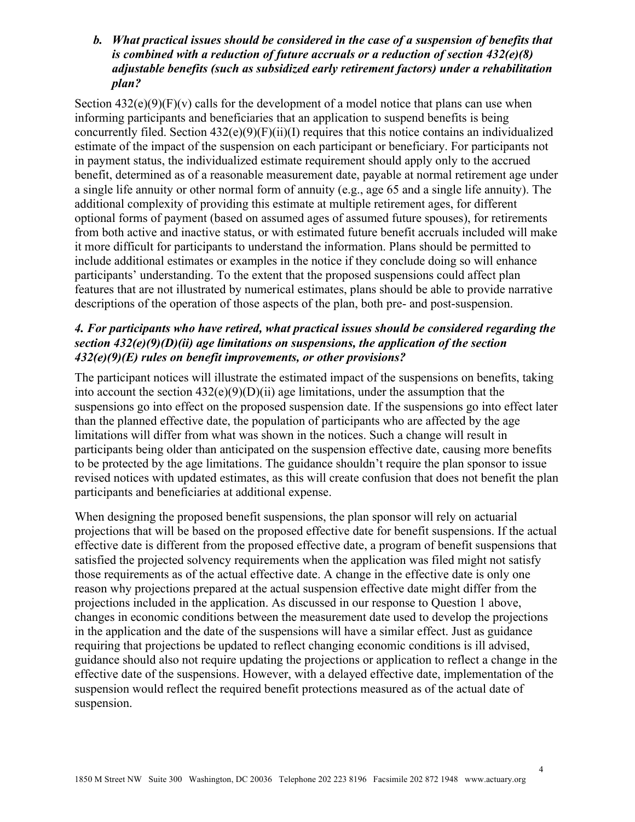## *b. What practical issues should be considered in the case of a suspension of benefits that is combined with a reduction of future accruals or a reduction of section 432(e)(8) adjustable benefits (such as subsidized early retirement factors) under a rehabilitation plan?*

Section  $432(e)(9)(F)(v)$  calls for the development of a model notice that plans can use when informing participants and beneficiaries that an application to suspend benefits is being concurrently filed. Section 432(e)(9)(F)(ii)(I) requires that this notice contains an individualized estimate of the impact of the suspension on each participant or beneficiary. For participants not in payment status, the individualized estimate requirement should apply only to the accrued benefit, determined as of a reasonable measurement date, payable at normal retirement age under a single life annuity or other normal form of annuity (e.g., age 65 and a single life annuity). The additional complexity of providing this estimate at multiple retirement ages, for different optional forms of payment (based on assumed ages of assumed future spouses), for retirements from both active and inactive status, or with estimated future benefit accruals included will make it more difficult for participants to understand the information. Plans should be permitted to include additional estimates or examples in the notice if they conclude doing so will enhance participants' understanding. To the extent that the proposed suspensions could affect plan features that are not illustrated by numerical estimates, plans should be able to provide narrative descriptions of the operation of those aspects of the plan, both pre- and post-suspension.

# *4. For participants who have retired, what practical issues should be considered regarding the section 432(e)(9)(D)(ii) age limitations on suspensions, the application of the section 432(e)(9)(E) rules on benefit improvements, or other provisions?*

The participant notices will illustrate the estimated impact of the suspensions on benefits, taking into account the section  $432(e)(9)(D)(ii)$  age limitations, under the assumption that the suspensions go into effect on the proposed suspension date. If the suspensions go into effect later than the planned effective date, the population of participants who are affected by the age limitations will differ from what was shown in the notices. Such a change will result in participants being older than anticipated on the suspension effective date, causing more benefits to be protected by the age limitations. The guidance shouldn't require the plan sponsor to issue revised notices with updated estimates, as this will create confusion that does not benefit the plan participants and beneficiaries at additional expense.

When designing the proposed benefit suspensions, the plan sponsor will rely on actuarial projections that will be based on the proposed effective date for benefit suspensions. If the actual effective date is different from the proposed effective date, a program of benefit suspensions that satisfied the projected solvency requirements when the application was filed might not satisfy those requirements as of the actual effective date. A change in the effective date is only one reason why projections prepared at the actual suspension effective date might differ from the projections included in the application. As discussed in our response to Question 1 above, changes in economic conditions between the measurement date used to develop the projections in the application and the date of the suspensions will have a similar effect. Just as guidance requiring that projections be updated to reflect changing economic conditions is ill advised, guidance should also not require updating the projections or application to reflect a change in the effective date of the suspensions. However, with a delayed effective date, implementation of the suspension would reflect the required benefit protections measured as of the actual date of suspension.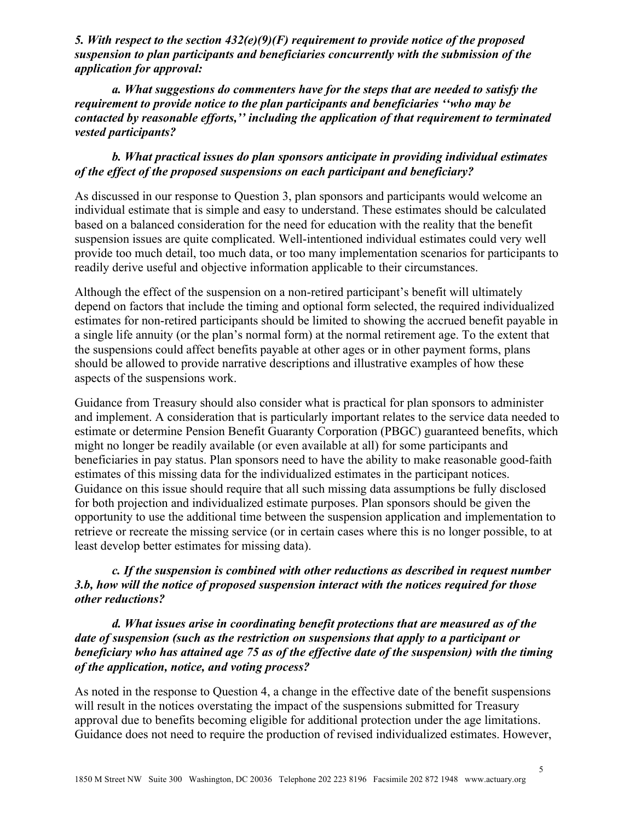*5. With respect to the section 432(e)(9)(F) requirement to provide notice of the proposed suspension to plan participants and beneficiaries concurrently with the submission of the application for approval:* 

*a. What suggestions do commenters have for the steps that are needed to satisfy the requirement to provide notice to the plan participants and beneficiaries ''who may be contacted by reasonable efforts,'' including the application of that requirement to terminated vested participants?* 

## *b. What practical issues do plan sponsors anticipate in providing individual estimates of the effect of the proposed suspensions on each participant and beneficiary?*

As discussed in our response to Question 3, plan sponsors and participants would welcome an individual estimate that is simple and easy to understand. These estimates should be calculated based on a balanced consideration for the need for education with the reality that the benefit suspension issues are quite complicated. Well-intentioned individual estimates could very well provide too much detail, too much data, or too many implementation scenarios for participants to readily derive useful and objective information applicable to their circumstances.

Although the effect of the suspension on a non-retired participant's benefit will ultimately depend on factors that include the timing and optional form selected, the required individualized estimates for non-retired participants should be limited to showing the accrued benefit payable in a single life annuity (or the plan's normal form) at the normal retirement age. To the extent that the suspensions could affect benefits payable at other ages or in other payment forms, plans should be allowed to provide narrative descriptions and illustrative examples of how these aspects of the suspensions work.

Guidance from Treasury should also consider what is practical for plan sponsors to administer and implement. A consideration that is particularly important relates to the service data needed to estimate or determine Pension Benefit Guaranty Corporation (PBGC) guaranteed benefits, which might no longer be readily available (or even available at all) for some participants and beneficiaries in pay status. Plan sponsors need to have the ability to make reasonable good-faith estimates of this missing data for the individualized estimates in the participant notices. Guidance on this issue should require that all such missing data assumptions be fully disclosed for both projection and individualized estimate purposes. Plan sponsors should be given the opportunity to use the additional time between the suspension application and implementation to retrieve or recreate the missing service (or in certain cases where this is no longer possible, to at least develop better estimates for missing data).

# *c. If the suspension is combined with other reductions as described in request number 3.b, how will the notice of proposed suspension interact with the notices required for those other reductions?*

*d. What issues arise in coordinating benefit protections that are measured as of the date of suspension (such as the restriction on suspensions that apply to a participant or beneficiary who has attained age 75 as of the effective date of the suspension) with the timing of the application, notice, and voting process?* 

As noted in the response to Question 4, a change in the effective date of the benefit suspensions will result in the notices overstating the impact of the suspensions submitted for Treasury approval due to benefits becoming eligible for additional protection under the age limitations. Guidance does not need to require the production of revised individualized estimates. However,